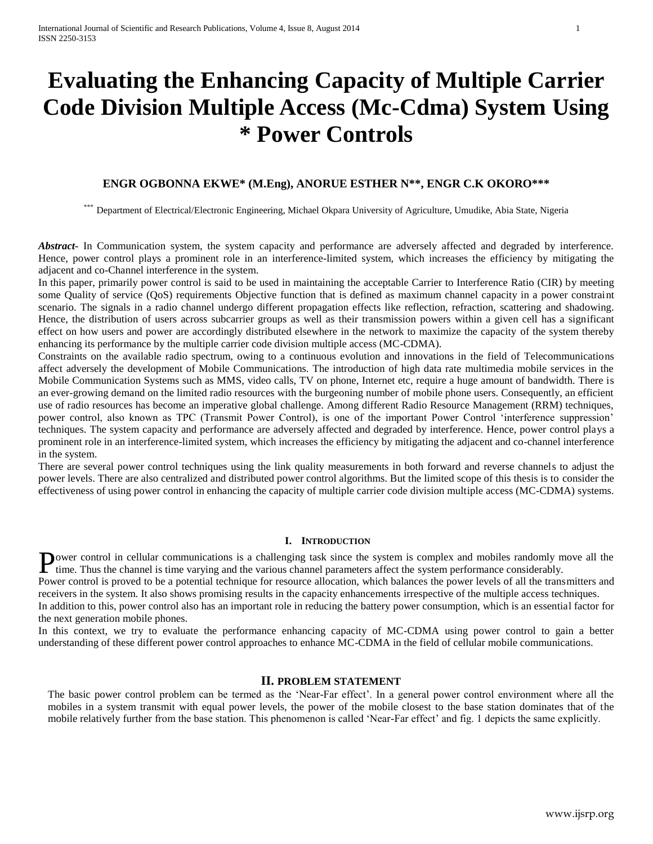# **Evaluating the Enhancing Capacity of Multiple Carrier Code Division Multiple Access (Mc-Cdma) System Using \* Power Controls**

## **ENGR OGBONNA EKWE\* (M.Eng), ANORUE ESTHER N\*\*, ENGR C.K OKORO\*\*\***

\*\*\* Department of Electrical/Electronic Engineering, Michael Okpara University of Agriculture, Umudike, Abia State, Nigeria

*Abstract***-** In Communication system, the system capacity and performance are adversely affected and degraded by interference. Hence, power control plays a prominent role in an interference-limited system, which increases the efficiency by mitigating the adjacent and co-Channel interference in the system.

In this paper, primarily power control is said to be used in maintaining the acceptable Carrier to Interference Ratio (CIR) by meeting some Quality of service (QoS) requirements Objective function that is defined as maximum channel capacity in a power constraint scenario. The signals in a radio channel undergo different propagation effects like reflection, refraction, scattering and shadowing. Hence, the distribution of users across subcarrier groups as well as their transmission powers within a given cell has a significant effect on how users and power are accordingly distributed elsewhere in the network to maximize the capacity of the system thereby enhancing its performance by the multiple carrier code division multiple access (MC-CDMA).

Constraints on the available radio spectrum, owing to a continuous evolution and innovations in the field of Telecommunications affect adversely the development of Mobile Communications. The introduction of high data rate multimedia mobile services in the Mobile Communication Systems such as MMS, video calls, TV on phone, Internet etc, require a huge amount of bandwidth. There is an ever-growing demand on the limited radio resources with the burgeoning number of mobile phone users. Consequently, an efficient use of radio resources has become an imperative global challenge. Among different Radio Resource Management (RRM) techniques, power control, also known as TPC (Transmit Power Control), is one of the important Power Control 'interference suppression' techniques. The system capacity and performance are adversely affected and degraded by interference. Hence, power control plays a prominent role in an interference-limited system, which increases the efficiency by mitigating the adjacent and co-channel interference in the system.

There are several power control techniques using the link quality measurements in both forward and reverse channels to adjust the power levels. There are also centralized and distributed power control algorithms. But the limited scope of this thesis is to consider the effectiveness of using power control in enhancing the capacity of multiple carrier code division multiple access (MC-CDMA) systems.

#### **I. INTRODUCTION**

**P**ower control in cellular communications is a challenging task since the system is complex and mobiles randomly move all the time. Thus the channel is time varying and the various channel parameters affect the system per time. Thus the channel is time varying and the various channel parameters affect the system performance considerably.

Power control is proved to be a potential technique for resource allocation, which balances the power levels of all the transmitters and receivers in the system. It also shows promising results in the capacity enhancements irrespective of the multiple access techniques. In addition to this, power control also has an important role in reducing the battery power consumption, which is an essential factor for

the next generation mobile phones. In this context, we try to evaluate the performance enhancing capacity of MC-CDMA using power control to gain a better understanding of these different power control approaches to enhance MC-CDMA in the field of cellular mobile communications.

#### **II. PROBLEM STATEMENT**

The basic power control problem can be termed as the 'Near-Far effect'. In a general power control environment where all the mobiles in a system transmit with equal power levels, the power of the mobile closest to the base station dominates that of the mobile relatively further from the base station. This phenomenon is called 'Near-Far effect' and fig. 1 depicts the same explicitly.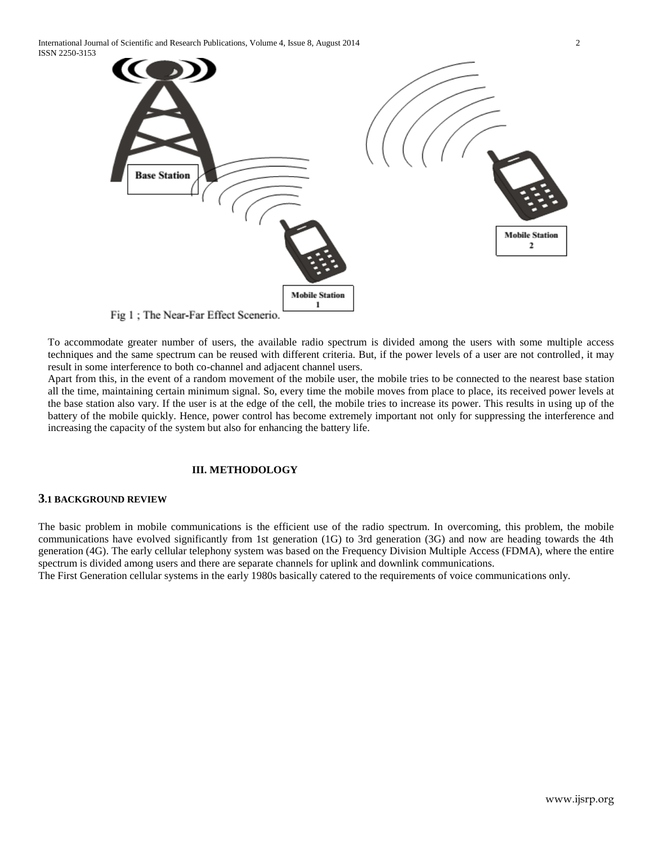

Fig 1; The Near-Far Effect Scenerio.

To accommodate greater number of users, the available radio spectrum is divided among the users with some multiple access techniques and the same spectrum can be reused with different criteria. But, if the power levels of a user are not controlled, it may result in some interference to both co-channel and adjacent channel users.

Apart from this, in the event of a random movement of the mobile user, the mobile tries to be connected to the nearest base station all the time, maintaining certain minimum signal. So, every time the mobile moves from place to place, its received power levels at the base station also vary. If the user is at the edge of the cell, the mobile tries to increase its power. This results in using up of the battery of the mobile quickly. Hence, power control has become extremely important not only for suppressing the interference and increasing the capacity of the system but also for enhancing the battery life.

# **III. METHODOLOGY**

# **3.1 BACKGROUND REVIEW**

The basic problem in mobile communications is the efficient use of the radio spectrum. In overcoming, this problem, the mobile communications have evolved significantly from 1st generation (1G) to 3rd generation (3G) and now are heading towards the 4th generation (4G). The early cellular telephony system was based on the Frequency Division Multiple Access (FDMA), where the entire spectrum is divided among users and there are separate channels for uplink and downlink communications.

The First Generation cellular systems in the early 1980s basically catered to the requirements of voice communications only.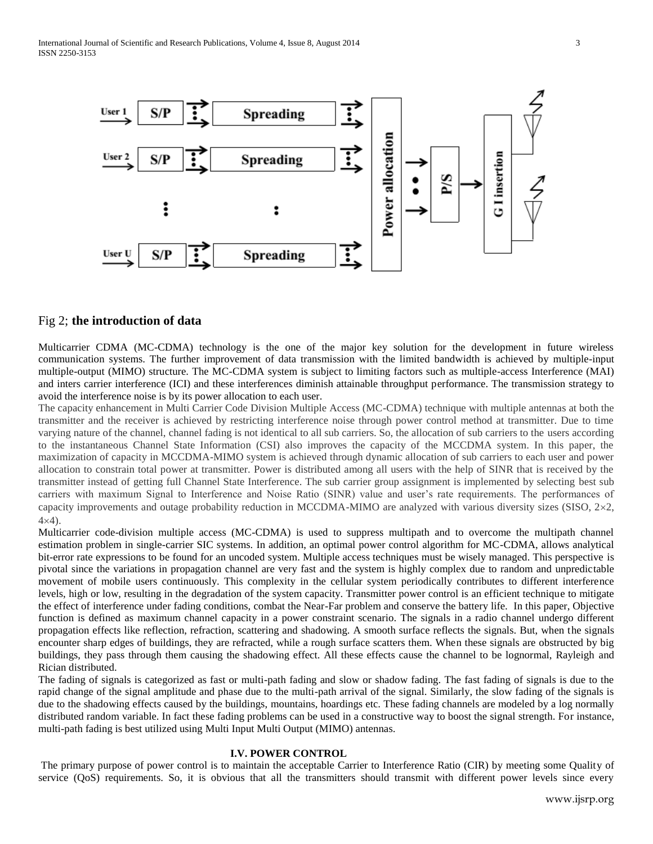

## Fig 2; **the introduction of data**

Multicarrier CDMA (MC-CDMA) technology is the one of the major key solution for the development in future wireless communication systems. The further improvement of data transmission with the limited bandwidth is achieved by multiple-input multiple-output (MIMO) structure. The MC-CDMA system is subject to limiting factors such as multiple-access Interference (MAI) and inters carrier interference (ICI) and these interferences diminish attainable throughput performance. The transmission strategy to avoid the interference noise is by its power allocation to each user.

The capacity enhancement in Multi Carrier Code Division Multiple Access (MC-CDMA) technique with multiple antennas at both the transmitter and the receiver is achieved by restricting interference noise through power control method at transmitter. Due to time varying nature of the channel, channel fading is not identical to all sub carriers. So, the allocation of sub carriers to the users according to the instantaneous Channel State Information (CSI) also improves the capacity of the MCCDMA system. In this paper, the maximization of capacity in MCCDMA-MIMO system is achieved through dynamic allocation of sub carriers to each user and power allocation to constrain total power at transmitter. Power is distributed among all users with the help of SINR that is received by the transmitter instead of getting full Channel State Interference. The sub carrier group assignment is implemented by selecting best sub carriers with maximum Signal to Interference and Noise Ratio (SINR) value and user's rate requirements. The performances of capacity improvements and outage probability reduction in MCCDMA-MIMO are analyzed with various diversity sizes (SISO,  $2 \times 2$ ,  $4\times4$ ).

Multicarrier code-division multiple access (MC-CDMA) is used to suppress multipath and to overcome the multipath channel estimation problem in single-carrier SIC systems. In addition, an optimal power control algorithm for MC-CDMA, allows analytical bit-error rate expressions to be found for an uncoded system. Multiple access techniques must be wisely managed. This perspective is pivotal since the variations in propagation channel are very fast and the system is highly complex due to random and unpredictable movement of mobile users continuously. This complexity in the cellular system periodically contributes to different interference levels, high or low, resulting in the degradation of the system capacity. Transmitter power control is an efficient technique to mitigate the effect of interference under fading conditions, combat the Near-Far problem and conserve the battery life. In this paper, Objective function is defined as maximum channel capacity in a power constraint scenario. The signals in a radio channel undergo different propagation effects like reflection, refraction, scattering and shadowing. A smooth surface reflects the signals. But, when the signals encounter sharp edges of buildings, they are refracted, while a rough surface scatters them. When these signals are obstructed by big buildings, they pass through them causing the shadowing effect. All these effects cause the channel to be lognormal, Rayleigh and Rician distributed.

The fading of signals is categorized as fast or multi-path fading and slow or shadow fading. The fast fading of signals is due to the rapid change of the signal amplitude and phase due to the multi-path arrival of the signal. Similarly, the slow fading of the signals is due to the shadowing effects caused by the buildings, mountains, hoardings etc. These fading channels are modeled by a log normally distributed random variable. In fact these fading problems can be used in a constructive way to boost the signal strength. For instance, multi-path fading is best utilized using Multi Input Multi Output (MIMO) antennas.

#### **I.V. POWER CONTROL**

The primary purpose of power control is to maintain the acceptable Carrier to Interference Ratio (CIR) by meeting some Quality of service (QoS) requirements. So, it is obvious that all the transmitters should transmit with different power levels since every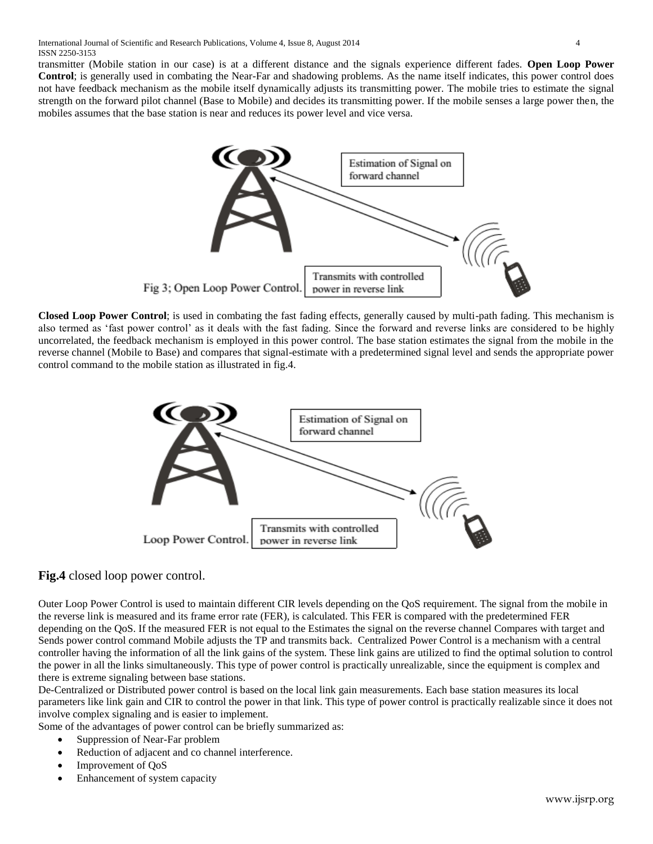transmitter (Mobile station in our case) is at a different distance and the signals experience different fades. **Open Loop Power Control**; is generally used in combating the Near-Far and shadowing problems. As the name itself indicates, this power control does not have feedback mechanism as the mobile itself dynamically adjusts its transmitting power. The mobile tries to estimate the signal strength on the forward pilot channel (Base to Mobile) and decides its transmitting power. If the mobile senses a large power then, the mobiles assumes that the base station is near and reduces its power level and vice versa.



**Closed Loop Power Control**; is used in combating the fast fading effects, generally caused by multi-path fading. This mechanism is also termed as 'fast power control' as it deals with the fast fading. Since the forward and reverse links are considered to be highly uncorrelated, the feedback mechanism is employed in this power control. The base station estimates the signal from the mobile in the reverse channel (Mobile to Base) and compares that signal-estimate with a predetermined signal level and sends the appropriate power control command to the mobile station as illustrated in fig.4.



# **Fig.4** closed loop power control.

Outer Loop Power Control is used to maintain different CIR levels depending on the QoS requirement. The signal from the mobile in the reverse link is measured and its frame error rate (FER), is calculated. This FER is compared with the predetermined FER depending on the QoS. If the measured FER is not equal to the Estimates the signal on the reverse channel Compares with target and Sends power control command Mobile adjusts the TP and transmits back. Centralized Power Control is a mechanism with a central controller having the information of all the link gains of the system. These link gains are utilized to find the optimal solution to control the power in all the links simultaneously. This type of power control is practically unrealizable, since the equipment is complex and there is extreme signaling between base stations.

De-Centralized or Distributed power control is based on the local link gain measurements. Each base station measures its local parameters like link gain and CIR to control the power in that link. This type of power control is practically realizable since it does not involve complex signaling and is easier to implement.

Some of the advantages of power control can be briefly summarized as:

- Suppression of Near-Far problem
- Reduction of adjacent and co channel interference.
- Improvement of QoS
- Enhancement of system capacity